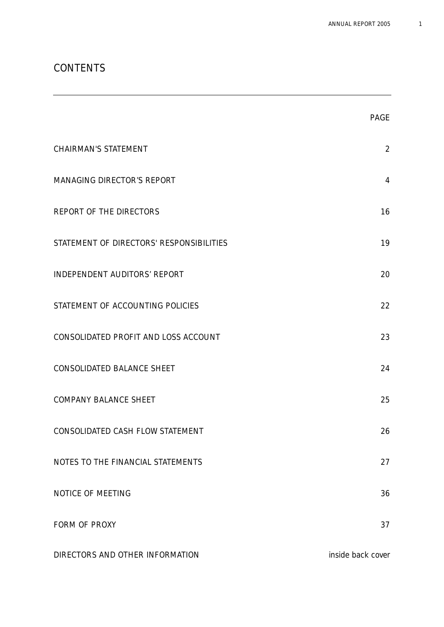# CONTENTS

|                                          | <b>PAGE</b>       |
|------------------------------------------|-------------------|
| <b>CHAIRMAN'S STATEMENT</b>              | $\overline{2}$    |
| MANAGING DIRECTOR'S REPORT               | $\overline{4}$    |
| REPORT OF THE DIRECTORS                  | 16                |
| STATEMENT OF DIRECTORS' RESPONSIBILITIES | 19                |
| INDEPENDENT AUDITORS' REPORT             | 20                |
| STATEMENT OF ACCOUNTING POLICIES         | 22                |
| CONSOLIDATED PROFIT AND LOSS ACCOUNT     | 23                |
| CONSOLIDATED BALANCE SHEET               | 24                |
| COMPANY BALANCE SHEET                    | 25                |
| CONSOLIDATED CASH FLOW STATEMENT         | 26                |
| NOTES TO THE FINANCIAL STATEMENTS        | 27                |
| NOTICE OF MEETING                        | 36                |
| FORM OF PROXY                            | 37                |
| DIRECTORS AND OTHER INFORMATION          | inside back cover |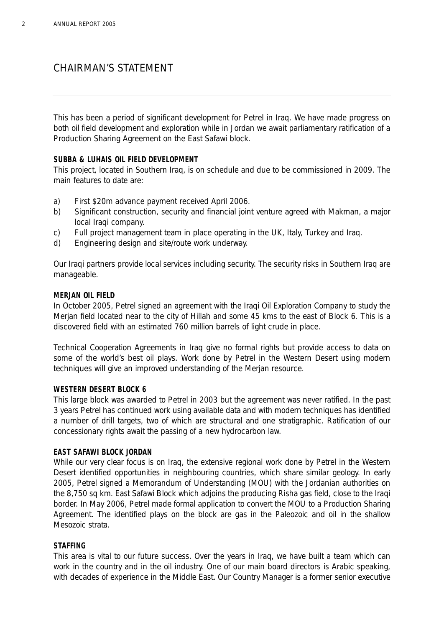# CHAIRMAN'S STATEMENT

This has been a period of significant development for Petrel in Iraq. We have made progress on both oil field development and exploration while in Jordan we await parliamentary ratification of a Production Sharing Agreement on the East Safawi block.

## **SUBBA & LUHAIS OIL FIELD DEVELOPMENT**

This project, located in Southern Iraq, is on schedule and due to be commissioned in 2009. The main features to date are:

- a) First \$20m advance payment received April 2006.
- b) Significant construction, security and financial joint venture agreed with Makman, a major local Iraqi company.
- c) Full project management team in place operating in the UK, Italy, Turkey and Iraq.
- d) Engineering design and site/route work underway.

Our Iraqi partners provide local services including security. The security risks in Southern Iraq are manageable.

## **MERJAN OIL FIELD**

In October 2005, Petrel signed an agreement with the Iraqi Oil Exploration Company to study the Merjan field located near to the city of Hillah and some 45 kms to the east of Block 6. This is a discovered field with an estimated 760 million barrels of light crude in place.

Technical Cooperation Agreements in Iraq give no formal rights but provide access to data on some of the world's best oil plays. Work done by Petrel in the Western Desert using modern techniques will give an improved understanding of the Merjan resource.

## **WESTERN DESERT BLOCK 6**

This large block was awarded to Petrel in 2003 but the agreement was never ratified. In the past 3 years Petrel has continued work using available data and with modern techniques has identified a number of drill targets, two of which are structural and one stratigraphic. Ratification of our concessionary rights await the passing of a new hydrocarbon law.

## **EAST SAFAWI BLOCK JORDAN**

While our very clear focus is on Iraq, the extensive regional work done by Petrel in the Western Desert identified opportunities in neighbouring countries, which share similar geology. In early 2005, Petrel signed a Memorandum of Understanding (MOU) with the Jordanian authorities on the 8,750 sq km. East Safawi Block which adjoins the producing Risha gas field, close to the Iraqi border. In May 2006, Petrel made formal application to convert the MOU to a Production Sharing Agreement. The identified plays on the block are gas in the Paleozoic and oil in the shallow Mesozoic strata.

## **STAFFING**

This area is vital to our future success. Over the years in Iraq, we have built a team which can work in the country and in the oil industry. One of our main board directors is Arabic speaking, with decades of experience in the Middle East. Our Country Manager is a former senior executive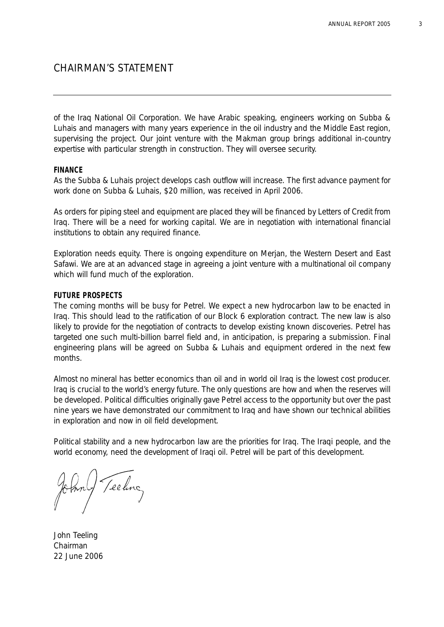# CHAIRMAN'S STATEMENT

of the Iraq National Oil Corporation. We have Arabic speaking, engineers working on Subba & Luhais and managers with many years experience in the oil industry and the Middle East region, supervising the project. Our joint venture with the Makman group brings additional in-country expertise with particular strength in construction. They will oversee security.

### **FINANCE**

As the Subba & Luhais project develops cash outflow will increase. The first advance payment for work done on Subba & Luhais, \$20 million, was received in April 2006.

As orders for piping steel and equipment are placed they will be financed by Letters of Credit from Iraq. There will be a need for working capital. We are in negotiation with international financial institutions to obtain any required finance.

Exploration needs equity. There is ongoing expenditure on Merjan, the Western Desert and East Safawi. We are at an advanced stage in agreeing a joint venture with a multinational oil company which will fund much of the exploration.

### **FUTURE PROSPECTS**

The coming months will be busy for Petrel. We expect a new hydrocarbon law to be enacted in Iraq. This should lead to the ratification of our Block 6 exploration contract. The new law is also likely to provide for the negotiation of contracts to develop existing known discoveries. Petrel has targeted one such multi-billion barrel field and, in anticipation, is preparing a submission. Final engineering plans will be agreed on Subba & Luhais and equipment ordered in the next few months.

Almost no mineral has better economics than oil and in world oil Iraq is the lowest cost producer. Iraq is crucial to the world's energy future. The only questions are how and when the reserves will be developed. Political difficulties originally gave Petrel access to the opportunity but over the past nine years we have demonstrated our commitment to Iraq and have shown our technical abilities in exploration and now in oil field development.

Political stability and a new hydrocarbon law are the priorities for Iraq. The Iraqi people, and the world economy, need the development of Iraqi oil. Petrel will be part of this development.

Teeling

John Teeling Chairman 22 June 2006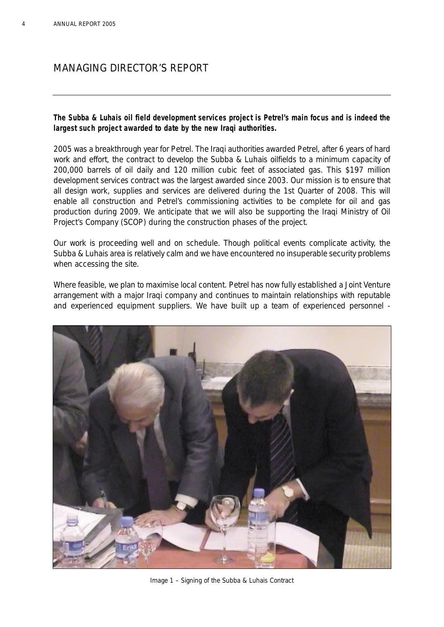## **The Subba & Luhais oil field development services project is Petrel's main focus and is indeed the largest such project awarded to date by the new Iraqi authorities.**

2005 was a breakthrough year for Petrel. The Iraqi authorities awarded Petrel, after 6 years of hard work and effort, the contract to develop the Subba & Luhais oilfields to a minimum capacity of 200,000 barrels of oil daily and 120 million cubic feet of associated gas. This \$197 million development services contract was the largest awarded since 2003. Our mission is to ensure that all design work, supplies and services are delivered during the 1st Quarter of 2008. This will enable all construction and Petrel's commissioning activities to be complete for oil and gas production during 2009. We anticipate that we will also be supporting the Iraqi Ministry of Oil Project's Company (SCOP) during the construction phases of the project.

Our work is proceeding well and on schedule. Though political events complicate activity, the Subba & Luhais area is relatively calm and we have encountered no insuperable security problems when accessing the site.

Where feasible, we plan to maximise local content. Petrel has now fully established a Joint Venture arrangement with a major Iraqi company and continues to maintain relationships with reputable and experienced equipment suppliers. We have built up a team of experienced personnel -



*Image 1 – Signing of the Subba & Luhais Contract*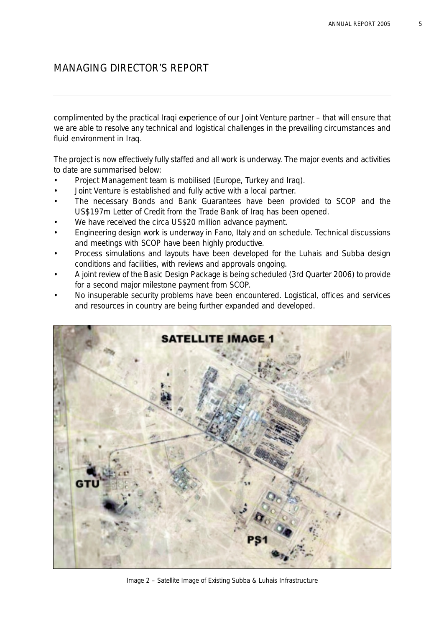complimented by the practical Iraqi experience of our Joint Venture partner – that will ensure that we are able to resolve any technical and logistical challenges in the prevailing circumstances and fluid environment in Iraq.

The project is now effectively fully staffed and all work is underway. The major events and activities to date are summarised below:

- Project Management team is mobilised (Europe, Turkey and Iraq).
- Joint Venture is established and fully active with a local partner.
- The necessary Bonds and Bank Guarantees have been provided to SCOP and the US\$197m Letter of Credit from the Trade Bank of Iraq has been opened.
- We have received the circa US\$20 million advance payment.
- Engineering design work is underway in Fano, Italy and on schedule. Technical discussions and meetings with SCOP have been highly productive.
- Process simulations and layouts have been developed for the Luhais and Subba design conditions and facilities, with reviews and approvals ongoing.
- A joint review of the Basic Design Package is being scheduled (3rd Quarter 2006) to provide for a second major milestone payment from SCOP.
- No insuperable security problems have been encountered. Logistical, offices and services and resources in country are being further expanded and developed.



*Image 2 – Satellite Image of Existing Subba & Luhais Infrastructure*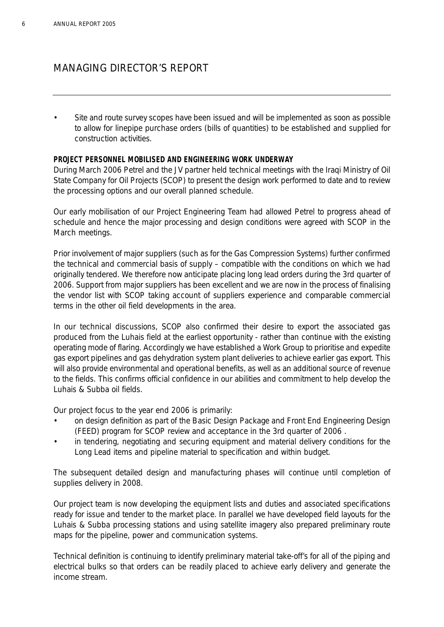• Site and route survey scopes have been issued and will be implemented as soon as possible to allow for linepipe purchase orders (bills of quantities) to be established and supplied for construction activities.

### **PROJECT PERSONNEL MOBILISED AND ENGINEERING WORK UNDERWAY**

During March 2006 Petrel and the JV partner held technical meetings with the Iraqi Ministry of Oil State Company for Oil Projects (SCOP) to present the design work performed to date and to review the processing options and our overall planned schedule.

Our early mobilisation of our Project Engineering Team had allowed Petrel to progress ahead of schedule and hence the major processing and design conditions were agreed with SCOP in the March meetings.

Prior involvement of major suppliers (such as for the Gas Compression Systems) further confirmed the technical and commercial basis of supply – compatible with the conditions on which we had originally tendered. We therefore now anticipate placing long lead orders during the 3rd quarter of 2006. Support from major suppliers has been excellent and we are now in the process of finalising the vendor list with SCOP taking account of suppliers experience and comparable commercial terms in the other oil field developments in the area.

In our technical discussions, SCOP also confirmed their desire to export the associated gas produced from the Luhais field at the earliest opportunity - rather than continue with the existing operating mode of flaring. Accordingly we have established a Work Group to prioritise and expedite gas export pipelines and gas dehydration system plant deliveries to achieve earlier gas export. This will also provide environmental and operational benefits, as well as an additional source of revenue to the fields. This confirms official confidence in our abilities and commitment to help develop the Luhais & Subba oil fields.

Our project focus to the year end 2006 is primarily:

- on design definition as part of the Basic Design Package and Front End Engineering Design (FEED) program for SCOP review and acceptance in the 3rd quarter of 2006 .
- in tendering, negotiating and securing equipment and material delivery conditions for the Long Lead items and pipeline material to specification and within budget.

The subsequent detailed design and manufacturing phases will continue until completion of supplies delivery in 2008.

Our project team is now developing the equipment lists and duties and associated specifications ready for issue and tender to the market place. In parallel we have developed field layouts for the Luhais & Subba processing stations and using satellite imagery also prepared preliminary route maps for the pipeline, power and communication systems.

Technical definition is continuing to identify preliminary material take-off's for all of the piping and electrical bulks so that orders can be readily placed to achieve early delivery and generate the income stream.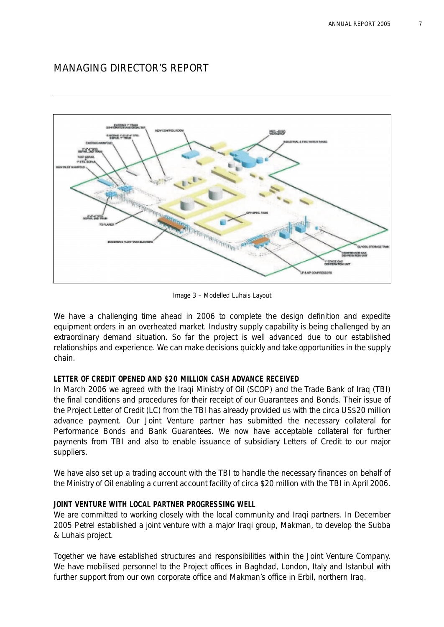

*Image 3 – Modelled Luhais Layout*

We have a challenging time ahead in 2006 to complete the design definition and expedite equipment orders in an overheated market. Industry supply capability is being challenged by an extraordinary demand situation. So far the project is well advanced due to our established relationships and experience. We can make decisions quickly and take opportunities in the supply chain.

## **LETTER OF CREDIT OPENED AND \$20 MILLION CASH ADVANCE RECEIVED**

In March 2006 we agreed with the Iraqi Ministry of Oil (SCOP) and the Trade Bank of Iraq (TBI) the final conditions and procedures for their receipt of our Guarantees and Bonds. Their issue of the Project Letter of Credit (LC) from the TBI has already provided us with the circa US\$20 million advance payment. Our Joint Venture partner has submitted the necessary collateral for Performance Bonds and Bank Guarantees. We now have acceptable collateral for further payments from TBI and also to enable issuance of subsidiary Letters of Credit to our major suppliers.

We have also set up a trading account with the TBI to handle the necessary finances on behalf of the Ministry of Oil enabling a current account facility of circa \$20 million with the TBI in April 2006.

## **JOINT VENTURE WITH LOCAL PARTNER PROGRESSING WELL**

We are committed to working closely with the local community and Iraqi partners. In December 2005 Petrel established a joint venture with a major Iraqi group, Makman, to develop the Subba & Luhais project.

Together we have established structures and responsibilities within the Joint Venture Company. We have mobilised personnel to the Project offices in Baghdad, London, Italy and Istanbul with further support from our own corporate office and Makman's office in Erbil, northern Iraq.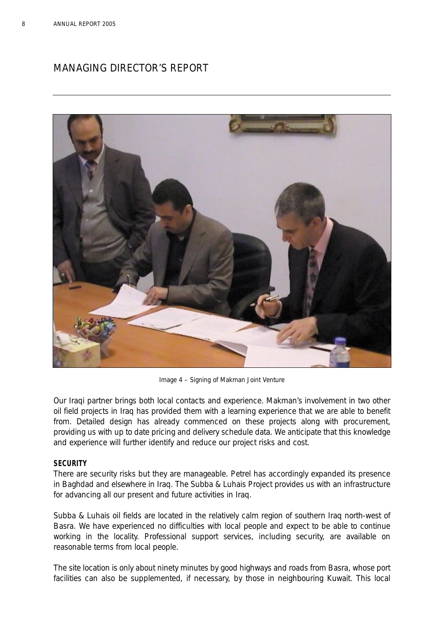

*Image 4 – Signing of Makman Joint Venture*

Our Iraqi partner brings both local contacts and experience. Makman's involvement in two other oil field projects in Iraq has provided them with a learning experience that we are able to benefit from. Detailed design has already commenced on these projects along with procurement, providing us with up to date pricing and delivery schedule data. We anticipate that this knowledge and experience will further identify and reduce our project risks and cost.

## **SECURITY**

There are security risks but they are manageable. Petrel has accordingly expanded its presence in Baghdad and elsewhere in Iraq. The Subba & Luhais Project provides us with an infrastructure for advancing all our present and future activities in Iraq.

Subba & Luhais oil fields are located in the relatively calm region of southern Iraq north-west of Basra. We have experienced no difficulties with local people and expect to be able to continue working in the locality. Professional support services, including security, are available on reasonable terms from local people.

The site location is only about ninety minutes by good highways and roads from Basra, whose port facilities can also be supplemented, if necessary, by those in neighbouring Kuwait. This local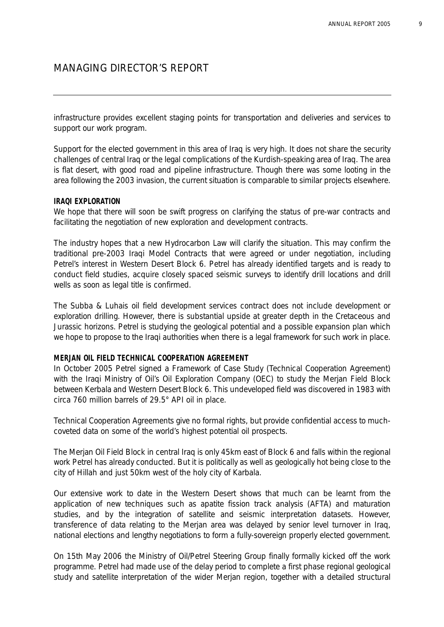infrastructure provides excellent staging points for transportation and deliveries and services to support our work program.

Support for the elected government in this area of Iraq is very high. It does not share the security challenges of central Iraq or the legal complications of the Kurdish-speaking area of Iraq. The area is flat desert, with good road and pipeline infrastructure. Though there was some looting in the area following the 2003 invasion, the current situation is comparable to similar projects elsewhere.

### **IRAQI EXPLORATION**

We hope that there will soon be swift progress on clarifying the status of pre-war contracts and facilitating the negotiation of new exploration and development contracts.

The industry hopes that a new Hydrocarbon Law will clarify the situation. This may confirm the traditional pre-2003 Iraqi Model Contracts that were agreed or under negotiation, including Petrel's interest in Western Desert Block 6. Petrel has already identified targets and is ready to conduct field studies, acquire closely spaced seismic surveys to identify drill locations and drill wells as soon as legal title is confirmed.

The Subba & Luhais oil field development services contract does not include development or exploration drilling. However, there is substantial upside at greater depth in the Cretaceous and Jurassic horizons. Petrel is studying the geological potential and a possible expansion plan which we hope to propose to the Iraqi authorities when there is a legal framework for such work in place.

### **MERJAN OIL FIELD TECHNICAL COOPERATION AGREEMENT**

In October 2005 Petrel signed a Framework of Case Study (Technical Cooperation Agreement) with the Iraqi Ministry of Oil's Oil Exploration Company (OEC) to study the Merjan Field Block between Kerbala and Western Desert Block 6. This undeveloped field was discovered in 1983 with circa 760 million barrels of 29.5° API oil in place.

Technical Cooperation Agreements give no formal rights, but provide confidential access to muchcoveted data on some of the world's highest potential oil prospects.

The Merjan Oil Field Block in central Iraq is only 45km east of Block 6 and falls within the regional work Petrel has already conducted. But it is politically as well as geologically hot being close to the city of Hillah and just 50km west of the holy city of Karbala.

Our extensive work to date in the Western Desert shows that much can be learnt from the application of new techniques such as apatite fission track analysis (AFTA) and maturation studies, and by the integration of satellite and seismic interpretation datasets. However, transference of data relating to the Merjan area was delayed by senior level turnover in Iraq, national elections and lengthy negotiations to form a fully-sovereign properly elected government.

On 15th May 2006 the Ministry of Oil/Petrel Steering Group finally formally kicked off the work programme. Petrel had made use of the delay period to complete a first phase regional geological study and satellite interpretation of the wider Merjan region, together with a detailed structural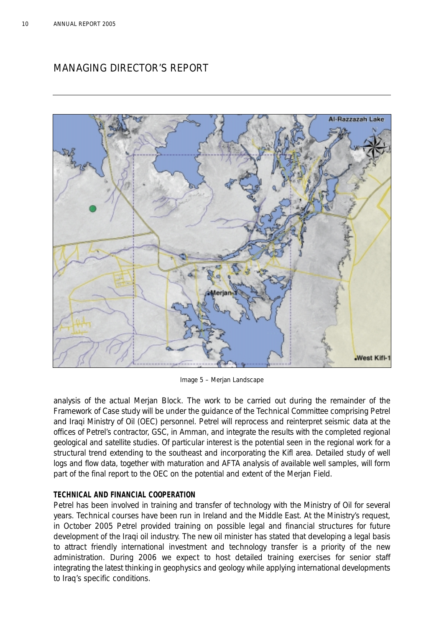

*Image 5 – Merjan Landscape*

analysis of the actual Merjan Block. The work to be carried out during the remainder of the Framework of Case study will be under the guidance of the Technical Committee comprising Petrel and Iraqi Ministry of Oil (OEC) personnel. Petrel will reprocess and reinterpret seismic data at the offices of Petrel's contractor, GSC, in Amman, and integrate the results with the completed regional geological and satellite studies. Of particular interest is the potential seen in the regional work for a structural trend extending to the southeast and incorporating the Kifl area. Detailed study of well logs and flow data, together with maturation and AFTA analysis of available well samples, will form part of the final report to the OEC on the potential and extent of the Merjan Field.

## **TECHNICAL AND FINANCIAL COOPERATION**

Petrel has been involved in training and transfer of technology with the Ministry of Oil for several years. Technical courses have been run in Ireland and the Middle East. At the Ministry's request, in October 2005 Petrel provided training on possible legal and financial structures for future development of the Iraqi oil industry. The new oil minister has stated that developing a legal basis to attract friendly international investment and technology transfer is a priority of the new administration. During 2006 we expect to host detailed training exercises for senior staff integrating the latest thinking in geophysics and geology while applying international developments to Iraq's specific conditions.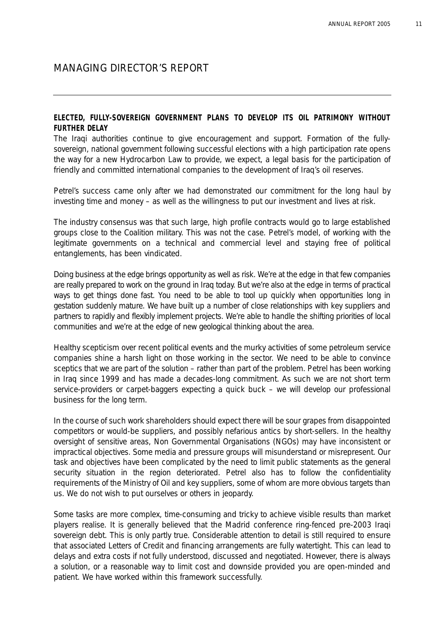### **ELECTED, FULLY-SOVEREIGN GOVERNMENT PLANS TO DEVELOP ITS OIL PATRIMONY WITHOUT FURTHER DELAY**

The Iraqi authorities continue to give encouragement and support. Formation of the fullysovereign, national government following successful elections with a high participation rate opens the way for a new Hydrocarbon Law to provide, we expect, a legal basis for the participation of friendly and committed international companies to the development of Iraq's oil reserves.

Petrel's success came only after we had demonstrated our commitment for the long haul by investing time and money – as well as the willingness to put our investment and lives at risk.

The industry consensus was that such large, high profile contracts would go to large established groups close to the Coalition military. This was not the case. Petrel's model, of working with the legitimate governments on a technical and commercial level and staying free of political entanglements, has been vindicated.

Doing business at the edge brings opportunity as well as risk. We're at the edge in that few companies are really prepared to work on the ground in Iraq today. But we're also at the edge in terms of practical ways to get things done fast. You need to be able to tool up quickly when opportunities long in gestation suddenly mature. We have built up a number of close relationships with key suppliers and partners to rapidly and flexibly implement projects. We're able to handle the shifting priorities of local communities and we're at the edge of new geological thinking about the area.

Healthy scepticism over recent political events and the murky activities of some petroleum service companies shine a harsh light on those working in the sector. We need to be able to convince sceptics that we are part of the solution – rather than part of the problem. Petrel has been working in Iraq since 1999 and has made a decades-long commitment. As such we are not short term service-providers or carpet-baggers expecting a quick buck – we will develop our professional business for the long term.

In the course of such work shareholders should expect there will be sour grapes from disappointed competitors or would-be suppliers, and possibly nefarious antics by short-sellers. In the healthy oversight of sensitive areas, Non Governmental Organisations (NGOs) may have inconsistent or impractical objectives. Some media and pressure groups will misunderstand or misrepresent. Our task and objectives have been complicated by the need to limit public statements as the general security situation in the region deteriorated. Petrel also has to follow the confidentiality requirements of the Ministry of Oil and key suppliers, some of whom are more obvious targets than us. We do not wish to put ourselves or others in jeopardy.

Some tasks are more complex, time-consuming and tricky to achieve visible results than market players realise. It is generally believed that the Madrid conference ring-fenced pre-2003 Iraqi sovereign debt. This is only partly true. Considerable attention to detail is still required to ensure that associated Letters of Credit and financing arrangements are fully watertight. This can lead to delays and extra costs if not fully understood, discussed and negotiated. However, there is always a solution, or a reasonable way to limit cost and downside provided you are open-minded and patient. We have worked within this framework successfully.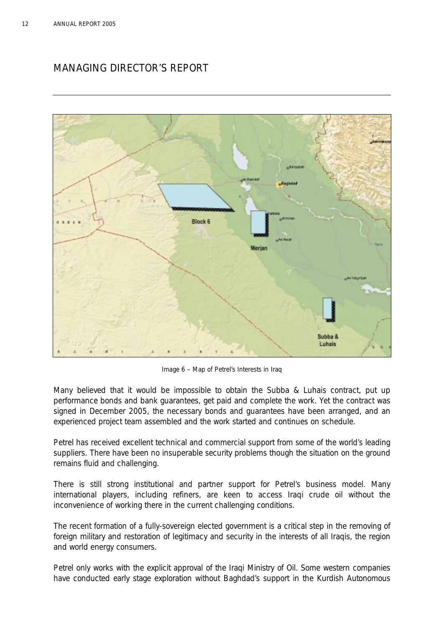

*Image 6 – Map of Petrel's Interests in Iraq*

Many believed that it would be impossible to obtain the Subba & Luhais contract, put up performance bonds and bank guarantees, get paid and complete the work. Yet the contract was signed in December 2005, the necessary bonds and guarantees have been arranged, and an experienced project team assembled and the work started and continues on schedule.

Petrel has received excellent technical and commercial support from some of the world's leading suppliers. There have been no insuperable security problems though the situation on the ground remains fluid and challenging.

There is still strong institutional and partner support for Petrel's business model. Many international players, including refiners, are keen to access Iraqi crude oil without the inconvenience of working there in the current challenging conditions.

The recent formation of a fully-sovereign elected government is a critical step in the removing of foreign military and restoration of legitimacy and security in the interests of all Iraqis, the region and world energy consumers.

Petrel only works with the explicit approval of the Iraqi Ministry of Oil. Some western companies have conducted early stage exploration without Baghdad's support in the Kurdish Autonomous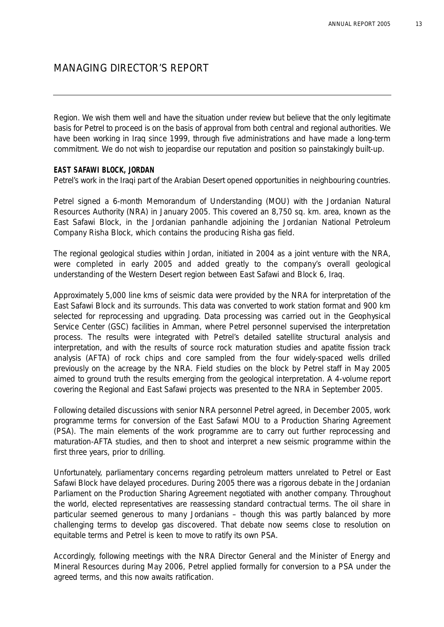Region. We wish them well and have the situation under review but believe that the only legitimate basis for Petrel to proceed is on the basis of approval from both central and regional authorities. We have been working in Iraq since 1999, through five administrations and have made a long-term commitment. We do not wish to jeopardise our reputation and position so painstakingly built-up.

### **EAST SAFAWI BLOCK, JORDAN**

Petrel's work in the Iraqi part of the Arabian Desert opened opportunities in neighbouring countries.

Petrel signed a 6-month Memorandum of Understanding (MOU) with the Jordanian Natural Resources Authority (NRA) in January 2005. This covered an 8,750 sq. km. area, known as the East Safawi Block, in the Jordanian panhandle adjoining the Jordanian National Petroleum Company Risha Block, which contains the producing Risha gas field.

The regional geological studies within Jordan, initiated in 2004 as a joint venture with the NRA, were completed in early 2005 and added greatly to the company's overall geological understanding of the Western Desert region between East Safawi and Block 6, Iraq.

Approximately 5,000 line kms of seismic data were provided by the NRA for interpretation of the East Safawi Block and its surrounds. This data was converted to work station format and 900 km selected for reprocessing and upgrading. Data processing was carried out in the Geophysical Service Center (GSC) facilities in Amman, where Petrel personnel supervised the interpretation process. The results were integrated with Petrel's detailed satellite structural analysis and interpretation, and with the results of source rock maturation studies and apatite fission track analysis (AFTA) of rock chips and core sampled from the four widely-spaced wells drilled previously on the acreage by the NRA. Field studies on the block by Petrel staff in May 2005 aimed to ground truth the results emerging from the geological interpretation. A 4-volume report covering the Regional and East Safawi projects was presented to the NRA in September 2005.

Following detailed discussions with senior NRA personnel Petrel agreed, in December 2005, work programme terms for conversion of the East Safawi MOU to a Production Sharing Agreement (PSA). The main elements of the work programme are to carry out further reprocessing and maturation-AFTA studies, and then to shoot and interpret a new seismic programme within the first three years, prior to drilling.

Unfortunately, parliamentary concerns regarding petroleum matters unrelated to Petrel or East Safawi Block have delayed procedures. During 2005 there was a rigorous debate in the Jordanian Parliament on the Production Sharing Agreement negotiated with another company. Throughout the world, elected representatives are reassessing standard contractual terms. The oil share in particular seemed generous to many Jordanians – though this was partly balanced by more challenging terms to develop gas discovered. That debate now seems close to resolution on equitable terms and Petrel is keen to move to ratify its own PSA.

Accordingly, following meetings with the NRA Director General and the Minister of Energy and Mineral Resources during May 2006, Petrel applied formally for conversion to a PSA under the agreed terms, and this now awaits ratification.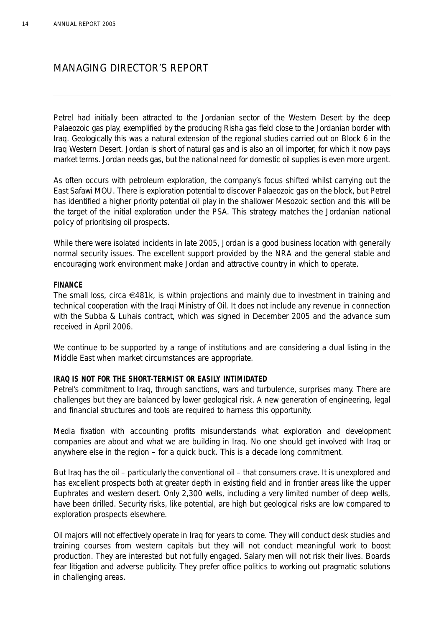Petrel had initially been attracted to the Jordanian sector of the Western Desert by the deep Palaeozoic gas play, exemplified by the producing Risha gas field close to the Jordanian border with Iraq. Geologically this was a natural extension of the regional studies carried out on Block 6 in the Iraq Western Desert. Jordan is short of natural gas and is also an oil importer, for which it now pays market terms. Jordan needs gas, but the national need for domestic oil supplies is even more urgent.

As often occurs with petroleum exploration, the company's focus shifted whilst carrying out the East Safawi MOU. There is exploration potential to discover Palaeozoic gas on the block, but Petrel has identified a higher priority potential oil play in the shallower Mesozoic section and this will be the target of the initial exploration under the PSA. This strategy matches the Jordanian national policy of prioritising oil prospects.

While there were isolated incidents in late 2005, Jordan is a good business location with generally normal security issues. The excellent support provided by the NRA and the general stable and encouraging work environment make Jordan and attractive country in which to operate.

### **FINANCE**

The small loss, circa €481k, is within projections and mainly due to investment in training and technical cooperation with the Iraqi Ministry of Oil. It does not include any revenue in connection with the Subba & Luhais contract, which was signed in December 2005 and the advance sum received in April 2006.

We continue to be supported by a range of institutions and are considering a dual listing in the Middle East when market circumstances are appropriate.

## **IRAQ IS NOT FOR THE SHORT-TERMIST OR EASILY INTIMIDATED**

Petrel's commitment to Iraq, through sanctions, wars and turbulence, surprises many. There are challenges but they are balanced by lower geological risk. A new generation of engineering, legal and financial structures and tools are required to harness this opportunity.

Media fixation with accounting profits misunderstands what exploration and development companies are about and what we are building in Iraq. No one should get involved with Iraq or anywhere else in the region – for a quick buck. This is a decade long commitment.

But Iraq has the oil – particularly the conventional oil – that consumers crave. It is unexplored and has excellent prospects both at greater depth in existing field and in frontier areas like the upper Euphrates and western desert. Only 2,300 wells, including a very limited number of deep wells, have been drilled. Security risks, like potential, are high but geological risks are low compared to exploration prospects elsewhere.

Oil majors will not effectively operate in Iraq for years to come. They will conduct desk studies and training courses from western capitals but they will not conduct meaningful work to boost production. They are interested but not fully engaged. Salary men will not risk their lives. Boards fear litigation and adverse publicity. They prefer office politics to working out pragmatic solutions in challenging areas.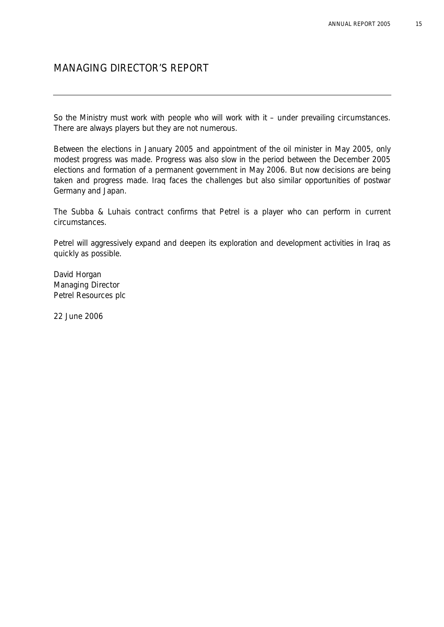So the Ministry must work with people who will work with it – under prevailing circumstances. There are always players but they are not numerous.

Between the elections in January 2005 and appointment of the oil minister in May 2005, only modest progress was made. Progress was also slow in the period between the December 2005 elections and formation of a permanent government in May 2006. But now decisions are being taken and progress made. Iraq faces the challenges but also similar opportunities of postwar Germany and Japan.

The Subba & Luhais contract confirms that Petrel is a player who can perform in current circumstances.

Petrel will aggressively expand and deepen its exploration and development activities in Iraq as quickly as possible.

David Horgan *Managing Director* Petrel Resources plc

22 June 2006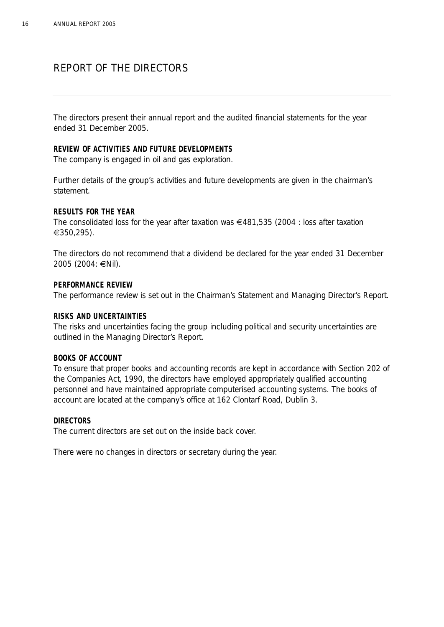# REPORT OF THE DIRECTORS

The directors present their annual report and the audited financial statements for the year ended 31 December 2005.

### **REVIEW OF ACTIVITIES AND FUTURE DEVELOPMENTS**

The company is engaged in oil and gas exploration.

Further details of the group's activities and future developments are given in the chairman's statement.

### **RESULTS FOR THE YEAR**

The consolidated loss for the year after taxation was €481,535 (2004 : loss after taxation €350,295).

The directors do not recommend that a dividend be declared for the year ended 31 December 2005 (2004: €Nil).

### **PERFORMANCE REVIEW**

The performance review is set out in the Chairman's Statement and Managing Director's Report.

### **RISKS AND UNCERTAINTIES**

The risks and uncertainties facing the group including political and security uncertainties are outlined in the Managing Director's Report.

### **BOOKS OF ACCOUNT**

To ensure that proper books and accounting records are kept in accordance with Section 202 of the Companies Act, 1990, the directors have employed appropriately qualified accounting personnel and have maintained appropriate computerised accounting systems. The books of account are located at the company's office at 162 Clontarf Road, Dublin 3.

### **DIRECTORS**

The current directors are set out on the inside back cover.

There were no changes in directors or secretary during the year.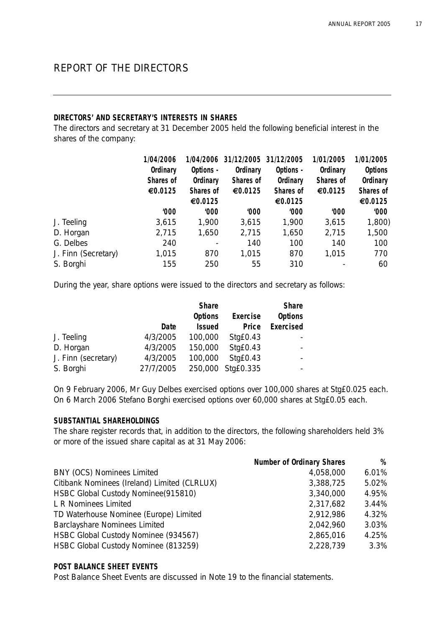# REPORT OF THE DIRECTORS

### **DIRECTORS' AND SECRETARY'S INTERESTS IN SHARES**

The directors and secretary at 31 December 2005 held the following beneficial interest in the shares of the company:

|                     | 1/04/2006 | 1/04/2006 | 31/12/2005 31/12/2005 |           | 1/01/2005 | 1/01/2005      |
|---------------------|-----------|-----------|-----------------------|-----------|-----------|----------------|
|                     | Ordinary  | Options - | Ordinary              | Options - | Ordinary  | <b>Options</b> |
|                     | Shares of | Ordinary  | Shares of             | Ordinary  | Shares of | Ordinary       |
|                     | €0.0125   | Shares of | €0.0125               | Shares of | €0.0125   | Shares of      |
|                     |           | €0.0125   |                       | €0.0125   |           | €0.0125        |
|                     | 000'      | '000      | '000                  | 000'      | '000      | '000           |
| J. Teeling          | 3,615     | 1,900     | 3,615                 | 1,900     | 3,615     | 1,800)         |
| D. Horgan           | 2,715     | 1,650     | 2,715                 | 1,650     | 2,715     | 1,500          |
| G. Delbes           | 240       |           | 140                   | 100       | 140       | 100            |
| J. Finn (Secretary) | 1,015     | 870       | 1,015                 | 870       | 1,015     | 770            |
| S. Borghi           | 155       | 250       | 55                    | 310       |           | 60             |

During the year, share options were issued to the directors and secretary as follows:

|                     |           | <b>Share</b>   |           | <b>Share</b>     |
|---------------------|-----------|----------------|-----------|------------------|
|                     |           | <b>Options</b> | Exercise  | <b>Options</b>   |
|                     | Date      | <b>Issued</b>  | Price     | <b>Exercised</b> |
| J. Teeling          | 4/3/2005  | 100,000        | StqE0.43  |                  |
| D. Horgan           | 4/3/2005  | 150,000        | Stg£0.43  | $\sim$           |
| J. Finn (secretary) | 4/3/2005  | 100,000        | Stg£0.43  |                  |
| S. Borghi           | 27/7/2005 | 250,000        | Stg£0.335 | $\sim$           |

On 9 February 2006, Mr Guy Delbes exercised options over 100,000 shares at Stg£0.025 each. On 6 March 2006 Stefano Borghi exercised options over 60,000 shares at Stg£0.05 each.

### **SUBSTANTIAL SHAREHOLDINGS**

The share register records that, in addition to the directors, the following shareholders held 3% or more of the issued share capital as at 31 May 2006:

| <b>Number of Ordinary Shares</b> | %     |
|----------------------------------|-------|
| 4,058,000                        | 6.01% |
| 3,388,725                        | 5.02% |
| 3,340,000                        | 4.95% |
| 2,317,682                        | 3.44% |
| 2,912,986                        | 4.32% |
| 2,042,960                        | 3.03% |
| 2,865,016                        | 4.25% |
| 2,228,739                        | 3.3%  |
|                                  |       |

## **POST BALANCE SHEET EVENTS**

Post Balance Sheet Events are discussed in Note 19 to the financial statements.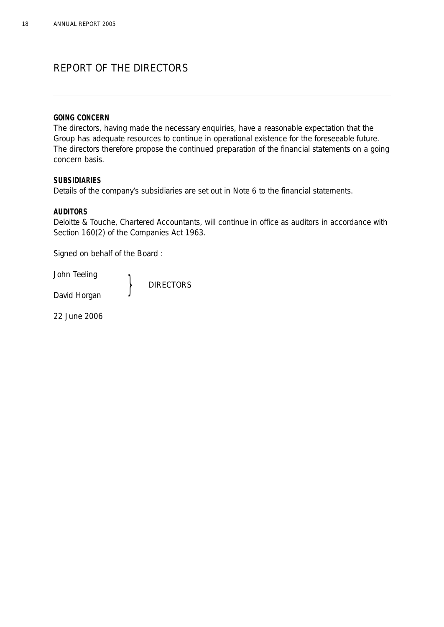# REPORT OF THE DIRECTORS

### **GOING CONCERN**

The directors, having made the necessary enquiries, have a reasonable expectation that the Group has adequate resources to continue in operational existence for the foreseeable future. The directors therefore propose the continued preparation of the financial statements on a going concern basis.

### **SUBSIDIARIES**

Details of the company's subsidiaries are set out in Note 6 to the financial statements.

### **AUDITORS**

Deloitte & Touche, Chartered Accountants, will continue in office as auditors in accordance with Section 160(2) of the Companies Act 1963.

Signed on behalf of the Board :

John Teeling **DIRECTORS** David Horgan

22 June 2006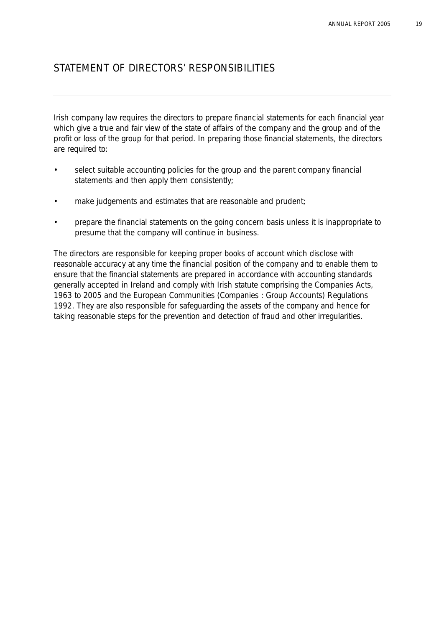# STATEMENT OF DIRECTORS' RESPONSIBILITIES

Irish company law requires the directors to prepare financial statements for each financial year which give a true and fair view of the state of affairs of the company and the group and of the profit or loss of the group for that period. In preparing those financial statements, the directors are required to:

- select suitable accounting policies for the group and the parent company financial statements and then apply them consistently;
- make judgements and estimates that are reasonable and prudent;
- prepare the financial statements on the going concern basis unless it is inappropriate to presume that the company will continue in business.

The directors are responsible for keeping proper books of account which disclose with reasonable accuracy at any time the financial position of the company and to enable them to ensure that the financial statements are prepared in accordance with accounting standards generally accepted in Ireland and comply with Irish statute comprising the Companies Acts, 1963 to 2005 and the European Communities (Companies : Group Accounts) Regulations 1992. They are also responsible for safeguarding the assets of the company and hence for taking reasonable steps for the prevention and detection of fraud and other irregularities.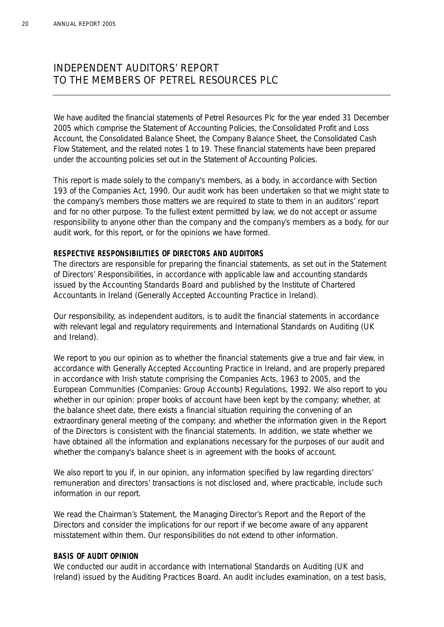# INDEPENDENT AUDITORS' REPORT TO THE MEMBERS OF PETREL RESOURCES PLC

We have audited the financial statements of Petrel Resources Plc for the year ended 31 December 2005 which comprise the Statement of Accounting Policies, the Consolidated Profit and Loss Account, the Consolidated Balance Sheet, the Company Balance Sheet, the Consolidated Cash Flow Statement, and the related notes 1 to 19. These financial statements have been prepared under the accounting policies set out in the Statement of Accounting Policies.

This report is made solely to the company's members, as a body, in accordance with Section 193 of the Companies Act, 1990. Our audit work has been undertaken so that we might state to the company's members those matters we are required to state to them in an auditors' report and for no other purpose. To the fullest extent permitted by law, we do not accept or assume responsibility to anyone other than the company and the company's members as a body, for our audit work, for this report, or for the opinions we have formed.

### **RESPECTIVE RESPONSIBILITIES OF DIRECTORS AND AUDITORS**

The directors are responsible for preparing the financial statements, as set out in the Statement of Directors' Responsibilities, in accordance with applicable law and accounting standards issued by the Accounting Standards Board and published by the Institute of Chartered Accountants in Ireland (Generally Accepted Accounting Practice in Ireland).

Our responsibility, as independent auditors, is to audit the financial statements in accordance with relevant legal and regulatory requirements and International Standards on Auditing (UK and Ireland).

We report to you our opinion as to whether the financial statements give a true and fair view, in accordance with Generally Accepted Accounting Practice in Ireland, and are properly prepared in accordance with Irish statute comprising the Companies Acts, 1963 to 2005, and the European Communities (Companies: Group Accounts) Regulations, 1992. We also report to you whether in our opinion: proper books of account have been kept by the company; whether, at the balance sheet date, there exists a financial situation requiring the convening of an extraordinary general meeting of the company; and whether the information given in the Report of the Directors is consistent with the financial statements. In addition, we state whether we have obtained all the information and explanations necessary for the purposes of our audit and whether the company's balance sheet is in agreement with the books of account.

We also report to you if, in our opinion, any information specified by law regarding directors' remuneration and directors' transactions is not disclosed and, where practicable, include such information in our report.

We read the Chairman's Statement, the Managing Director's Report and the Report of the Directors and consider the implications for our report if we become aware of any apparent misstatement within them. Our responsibilities do not extend to other information.

### **BASIS OF AUDIT OPINION**

We conducted our audit in accordance with International Standards on Auditing (UK and Ireland) issued by the Auditing Practices Board. An audit includes examination, on a test basis,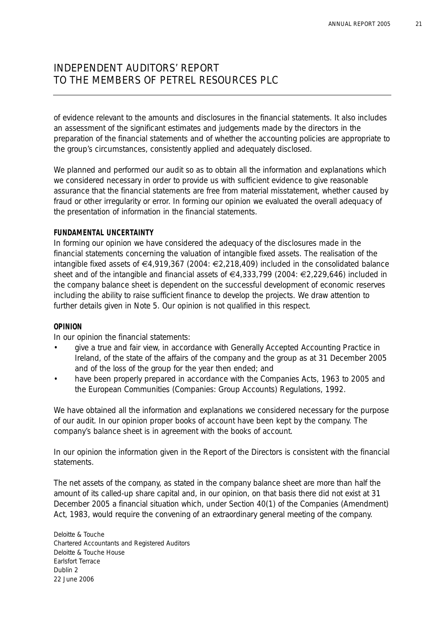# INDEPENDENT AUDITORS' REPORT TO THE MEMBERS OF PETREL RESOURCES PLC

of evidence relevant to the amounts and disclosures in the financial statements. It also includes an assessment of the significant estimates and judgements made by the directors in the preparation of the financial statements and of whether the accounting policies are appropriate to the group's circumstances, consistently applied and adequately disclosed.

We planned and performed our audit so as to obtain all the information and explanations which we considered necessary in order to provide us with sufficient evidence to give reasonable assurance that the financial statements are free from material misstatement, whether caused by fraud or other irregularity or error. In forming our opinion we evaluated the overall adequacy of the presentation of information in the financial statements.

### **FUNDAMENTAL UNCERTAINTY**

In forming our opinion we have considered the adequacy of the disclosures made in the financial statements concerning the valuation of intangible fixed assets. The realisation of the intangible fixed assets of €4,919,367 (2004: €2,218,409) included in the consolidated balance sheet and of the intangible and financial assets of €4,333,799 (2004: €2,229,646) included in the company balance sheet is dependent on the successful development of economic reserves including the ability to raise sufficient finance to develop the projects. We draw attention to further details given in Note 5. Our opinion is not qualified in this respect.

### **OPINION**

In our opinion the financial statements:

- give a true and fair view, in accordance with Generally Accepted Accounting Practice in Ireland, of the state of the affairs of the company and the group as at 31 December 2005 and of the loss of the group for the year then ended; and
- have been properly prepared in accordance with the Companies Acts, 1963 to 2005 and the European Communities (Companies: Group Accounts) Regulations, 1992.

We have obtained all the information and explanations we considered necessary for the purpose of our audit. In our opinion proper books of account have been kept by the company. The company's balance sheet is in agreement with the books of account.

In our opinion the information given in the Report of the Directors is consistent with the financial statements.

The net assets of the company, as stated in the company balance sheet are more than half the amount of its called-up share capital and, in our opinion, on that basis there did not exist at 31 December 2005 a financial situation which, under Section 40(1) of the Companies (Amendment) Act, 1983, would require the convening of an extraordinary general meeting of the company.

Deloitte & Touche Chartered Accountants and Registered Auditors Deloitte & Touche House Earlsfort Terrace Dublin 2 22 June 2006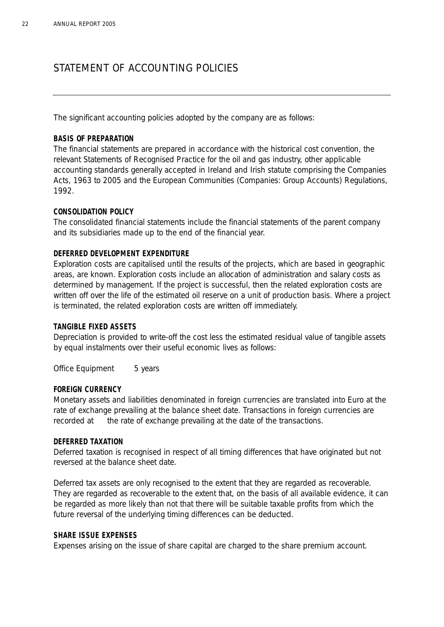# STATEMENT OF ACCOUNTING POLICIES

The significant accounting policies adopted by the company are as follows:

## **BASIS OF PREPARATION**

The financial statements are prepared in accordance with the historical cost convention, the relevant Statements of Recognised Practice for the oil and gas industry, other applicable accounting standards generally accepted in Ireland and Irish statute comprising the Companies Acts, 1963 to 2005 and the European Communities (Companies: Group Accounts) Regulations, 1992.

## **CONSOLIDATION POLICY**

The consolidated financial statements include the financial statements of the parent company and its subsidiaries made up to the end of the financial year.

## **DEFERRED DEVELOPMENT EXPENDITURE**

Exploration costs are capitalised until the results of the projects, which are based in geographic areas, are known. Exploration costs include an allocation of administration and salary costs as determined by management. If the project is successful, then the related exploration costs are written off over the life of the estimated oil reserve on a unit of production basis. Where a project is terminated, the related exploration costs are written off immediately.

## **TANGIBLE FIXED ASSETS**

Depreciation is provided to write-off the cost less the estimated residual value of tangible assets by equal instalments over their useful economic lives as follows:

Office Equipment 5 years

## **FOREIGN CURRENCY**

Monetary assets and liabilities denominated in foreign currencies are translated into Euro at the rate of exchange prevailing at the balance sheet date. Transactions in foreign currencies are recorded at the rate of exchange prevailing at the date of the transactions.

## **DEFERRED TAXATION**

Deferred taxation is recognised in respect of all timing differences that have originated but not reversed at the balance sheet date.

Deferred tax assets are only recognised to the extent that they are regarded as recoverable. They are regarded as recoverable to the extent that, on the basis of all available evidence, it can be regarded as more likely than not that there will be suitable taxable profits from which the future reversal of the underlying timing differences can be deducted.

## **SHARE ISSUE EXPENSES**

Expenses arising on the issue of share capital are charged to the share premium account.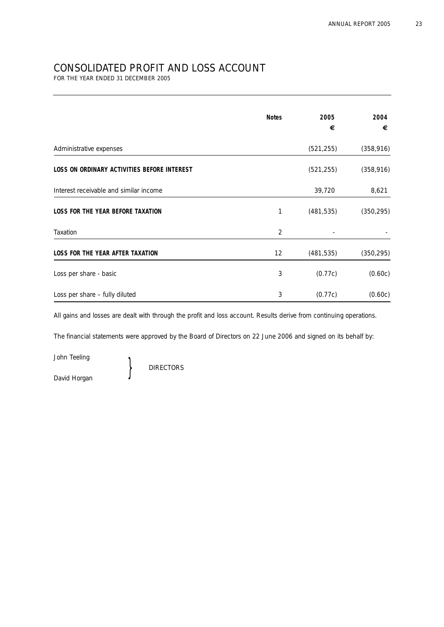# CONSOLIDATED PROFIT AND LOSS ACCOUNT

FOR THE YEAR ENDED 31 DECEMBER 2005

|                                             | <b>Notes</b>   | 2005<br>€  | 2004<br>€  |
|---------------------------------------------|----------------|------------|------------|
| Administrative expenses                     |                | (521, 255) | (358, 916) |
| LOSS ON ORDINARY ACTIVITIES BEFORE INTEREST |                | (521, 255) | (358, 916) |
| Interest receivable and similar income      |                | 39,720     | 8,621      |
| <b>LOSS FOR THE YEAR BEFORE TAXATION</b>    | 1              | (481, 535) | (350, 295) |
| Taxation                                    | $\overline{2}$ |            |            |
| <b>LOSS FOR THE YEAR AFTER TAXATION</b>     | 12             | (481, 535) | (350, 295) |
| Loss per share - basic                      | 3              | (0.77c)    | (0.60c)    |
| Loss per share - fully diluted              | 3              | (0.77c)    | (0.60c)    |

All gains and losses are dealt with through the profit and loss account. Results derive from continuing operations.

The financial statements were approved by the Board of Directors on 22 June 2006 and signed on its behalf by:

John Teeling

David Horgan

**DIRECTORS**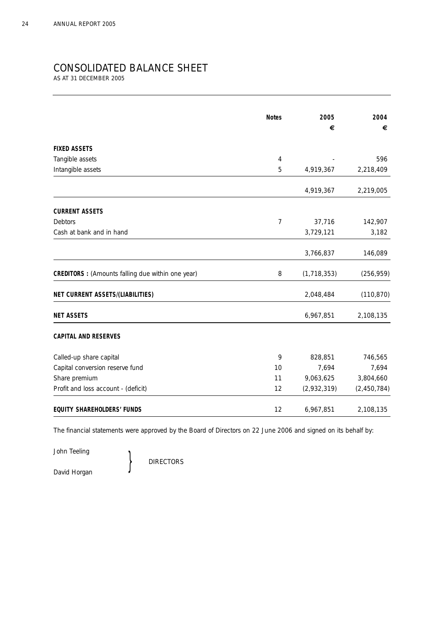## CONSOLIDATED BALANCE SHEET

AS AT 31 DECEMBER 2005

|                                                          | <b>Notes</b> | 2005          | 2004        |
|----------------------------------------------------------|--------------|---------------|-------------|
|                                                          |              | €             | €           |
| <b>FIXED ASSETS</b>                                      |              |               |             |
| Tangible assets                                          | 4            |               | 596         |
| Intangible assets                                        | 5            | 4,919,367     | 2,218,409   |
|                                                          |              | 4,919,367     | 2,219,005   |
| <b>CURRENT ASSETS</b>                                    |              |               |             |
| <b>Debtors</b>                                           | 7            | 37,716        | 142,907     |
| Cash at bank and in hand                                 |              | 3,729,121     | 3,182       |
|                                                          |              | 3,766,837     | 146,089     |
| <b>CREDITORS</b> : (Amounts falling due within one year) | 8            | (1, 718, 353) | (256, 959)  |
| NET CURRENT ASSETS/(LIABILITIES)                         |              | 2,048,484     | (110, 870)  |
| <b>NET ASSETS</b>                                        |              | 6,967,851     | 2,108,135   |
| <b>CAPITAL AND RESERVES</b>                              |              |               |             |
| Called-up share capital                                  | 9            | 828,851       | 746,565     |
| Capital conversion reserve fund                          | 10           | 7,694         | 7,694       |
| Share premium                                            | 11           | 9,063,625     | 3,804,660   |
| Profit and loss account - (deficit)                      | 12           | (2,932,319)   | (2,450,784) |
| <b>EQUITY SHAREHOLDERS' FUNDS</b>                        | 12           | 6,967,851     | 2,108,135   |

The financial statements were approved by the Board of Directors on 22 June 2006 and signed on its behalf by:

John Teeling

**DIRECTORS** 

David Horgan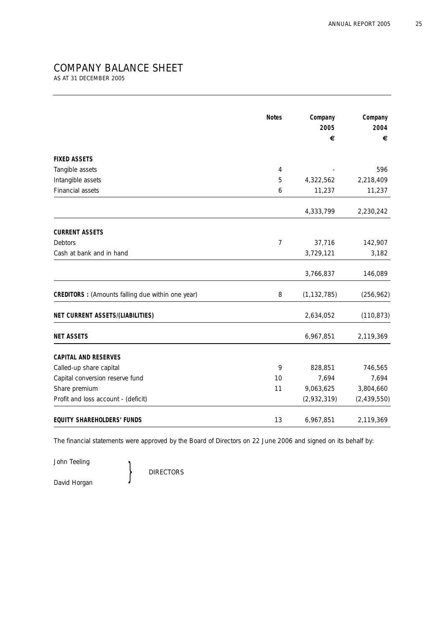# COMPANY BALANCE SHEET

AS AT 31 DECEMBER 2005

|                                                          | <b>Notes</b>   | Company       | Company       |
|----------------------------------------------------------|----------------|---------------|---------------|
|                                                          | 2005<br>€      | 2004<br>€     |               |
|                                                          |                |               |               |
| <b>FIXED ASSETS</b>                                      |                |               |               |
| Tangible assets                                          | 4              |               | 596           |
| Intangible assets                                        | 5              | 4,322,562     | 2,218,409     |
| Financial assets                                         | 6              | 11,237        | 11,237        |
|                                                          |                | 4,333,799     | 2,230,242     |
| <b>CURRENT ASSETS</b>                                    |                |               |               |
| Debtors                                                  | $\overline{7}$ | 37,716        | 142,907       |
| Cash at bank and in hand                                 |                | 3,729,121     | 3,182         |
|                                                          |                | 3,766,837     | 146,089       |
| <b>CREDITORS</b> : (Amounts falling due within one year) | 8              | (1, 132, 785) | (256, 962)    |
| NET CURRENT ASSETS/(LIABILITIES)                         |                | 2,634,052     | (110, 873)    |
| <b>NET ASSETS</b>                                        |                | 6,967,851     | 2,119,369     |
| <b>CAPITAL AND RESERVES</b>                              |                |               |               |
| Called-up share capital                                  | 9              | 828,851       | 746,565       |
| Capital conversion reserve fund                          | 10             | 7,694         | 7,694         |
| Share premium                                            | 11             | 9,063,625     | 3,804,660     |
| Profit and loss account - (deficit)                      |                | (2,932,319)   | (2, 439, 550) |
| <b>EQUITY SHAREHOLDERS' FUNDS</b>                        | 13             | 6,967,851     | 2,119,369     |

The financial statements were approved by the Board of Directors on 22 June 2006 and signed on its behalf by:

John Teeling

David Horgan

**DIRECTORS**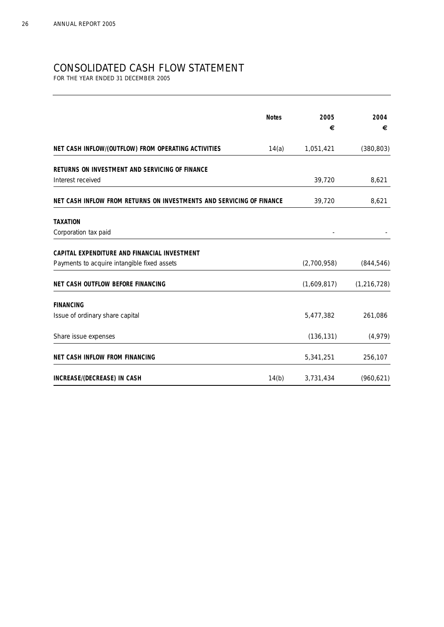# CONSOLIDATED CASH FLOW STATEMENT

FOR THE YEAR ENDED 31 DECEMBER 2005

|                                                                      | <b>Notes</b> | 2005<br>€   | 2004<br>€     |
|----------------------------------------------------------------------|--------------|-------------|---------------|
| NET CASH INFLOW/(OUTFLOW) FROM OPERATING ACTIVITIES                  | 14(a)        | 1,051,421   | (380, 803)    |
| RETURNS ON INVESTMENT AND SERVICING OF FINANCE                       |              |             |               |
| Interest received                                                    |              | 39,720      | 8,621         |
| NET CASH INFLOW FROM RETURNS ON INVESTMENTS AND SERVICING OF FINANCE |              | 39,720      | 8,621         |
| <b>TAXATION</b>                                                      |              |             |               |
| Corporation tax paid                                                 |              |             |               |
| CAPITAL EXPENDITURE AND FINANCIAL INVESTMENT                         |              |             |               |
| Payments to acquire intangible fixed assets                          |              | (2,700,958) | (844, 546)    |
| NET CASH OUTFLOW BEFORE FINANCING                                    |              | (1,609,817) | (1, 216, 728) |
| <b>FINANCING</b>                                                     |              |             |               |
| Issue of ordinary share capital                                      |              | 5,477,382   | 261,086       |
| Share issue expenses                                                 |              | (136, 131)  | (4,979)       |
| <b>NET CASH INFLOW FROM FINANCING</b>                                |              | 5,341,251   | 256,107       |
| INCREASE/(DECREASE) IN CASH                                          | 14(b)        | 3,731,434   | (960, 621)    |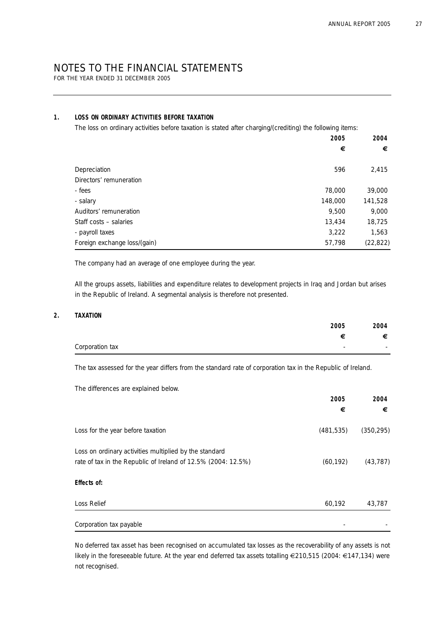FOR THE YEAR ENDED 31 DECEMBER 2005

### **1. LOSS ON ORDINARY ACTIVITIES BEFORE TAXATION**

The loss on ordinary activities before taxation is stated after charging/(crediting) the following items:

|                              | 2005<br>€ | 2004<br>€ |
|------------------------------|-----------|-----------|
| Depreciation                 | 596       | 2,415     |
| Directors' remuneration      |           |           |
| - fees                       | 78,000    | 39,000    |
| - salary                     | 148,000   | 141,528   |
| Auditors' remuneration       | 9.500     | 9,000     |
| Staff costs - salaries       | 13,434    | 18,725    |
| - payroll taxes              | 3,222     | 1,563     |
| Foreign exchange loss/(gain) | 57,798    | (22, 822) |

The company had an average of one employee during the year.

All the groups assets, liabilities and expenditure relates to development projects in Iraq and Jordan but arises in the Republic of Ireland. A segmental analysis is therefore not presented.

#### **2. TAXATION**

|                 | 2005 | 2004 |
|-----------------|------|------|
|                 | €    | €    |
| Corporation tax |      |      |

The tax assessed for the year differs from the standard rate of corporation tax in the Republic of Ireland.

The differences are explained below.

|                                                                                                                         | 2005       | 2004       |
|-------------------------------------------------------------------------------------------------------------------------|------------|------------|
|                                                                                                                         | €          | €          |
| Loss for the year before taxation                                                                                       | (481, 535) | (350, 295) |
| Loss on ordinary activities multiplied by the standard<br>rate of tax in the Republic of Ireland of 12.5% (2004: 12.5%) | (60, 192)  | (43, 787)  |
| Effects of:                                                                                                             |            |            |
| Loss Relief                                                                                                             | 60,192     | 43,787     |
| Corporation tax payable                                                                                                 |            |            |

No deferred tax asset has been recognised on accumulated tax losses as the recoverability of any assets is not likely in the foreseeable future. At the year end deferred tax assets totalling €210,515 (2004: €147,134) were not recognised.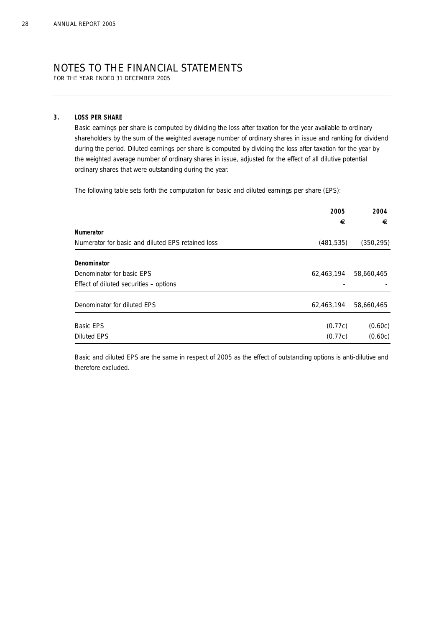FOR THE YEAR ENDED 31 DECEMBER 2005

#### **3. LOSS PER SHARE**

Basic earnings per share is computed by dividing the loss after taxation for the year available to ordinary shareholders by the sum of the weighted average number of ordinary shares in issue and ranking for dividend during the period. Diluted earnings per share is computed by dividing the loss after taxation for the year by the weighted average number of ordinary shares in issue, adjusted for the effect of all dilutive potential ordinary shares that were outstanding during the year.

The following table sets forth the computation for basic and diluted earnings per share (EPS):

|                                                   | 2005       | 2004       |
|---------------------------------------------------|------------|------------|
|                                                   | €          | €          |
| <b>Numerator</b>                                  |            |            |
| Numerator for basic and diluted EPS retained loss | (481, 535) | (350, 295) |
|                                                   |            |            |
| Denominator                                       |            |            |
| Denominator for basic EPS                         | 62,463,194 | 58,660,465 |
| Effect of diluted securities – options            |            |            |
|                                                   |            |            |
| Denominator for diluted EPS                       | 62,463,194 | 58,660,465 |
| <b>Basic EPS</b>                                  | (0.77c)    | (0.60c)    |
|                                                   |            |            |
| Diluted EPS                                       | (0.77c)    | (0.60c)    |

Basic and diluted EPS are the same in respect of 2005 as the effect of outstanding options is anti-dilutive and therefore excluded.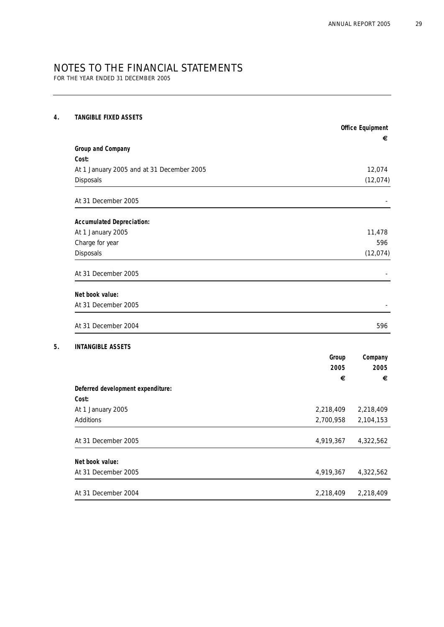FOR THE YEAR ENDED 31 DECEMBER 2005

### **4. TANGIBLE FIXED ASSETS**

|                                           | <b>Office Equipment</b> |
|-------------------------------------------|-------------------------|
|                                           | €                       |
| Group and Company                         |                         |
| Cost:                                     |                         |
| At 1 January 2005 and at 31 December 2005 | 12,074                  |
| Disposals                                 | (12,074)                |
| At 31 December 2005                       |                         |
| <b>Accumulated Depreciation:</b>          |                         |
| At 1 January 2005                         | 11,478                  |
| Charge for year                           | 596                     |
| Disposals                                 | (12,074)                |
| At 31 December 2005                       |                         |
| Net book value:                           |                         |
| At 31 December 2005                       |                         |
| At 31 December 2004                       | 596                     |

### **5. INTANGIBLE ASSETS**

|                                   | Group     | Company<br>2005 |  |
|-----------------------------------|-----------|-----------------|--|
|                                   | 2005      |                 |  |
|                                   | €         | €               |  |
| Deferred development expenditure: |           |                 |  |
| Cost:                             |           |                 |  |
| At 1 January 2005                 | 2,218,409 | 2,218,409       |  |
| Additions                         | 2,700,958 | 2,104,153       |  |
| At 31 December 2005               | 4,919,367 | 4,322,562       |  |
| Net book value:                   |           |                 |  |
| At 31 December 2005               | 4,919,367 | 4,322,562       |  |
| At 31 December 2004               | 2,218,409 | 2,218,409       |  |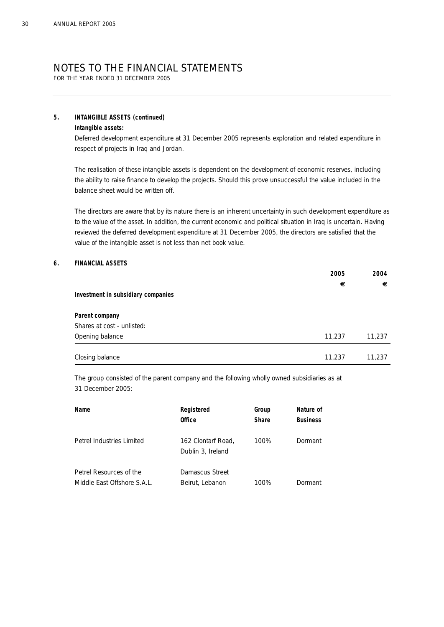FOR THE YEAR ENDED 31 DECEMBER 2005

#### **5. INTANGIBLE ASSETS (continued)**

#### **Intangible assets:**

Deferred development expenditure at 31 December 2005 represents exploration and related expenditure in respect of projects in Iraq and Jordan.

The realisation of these intangible assets is dependent on the development of economic reserves, including the ability to raise finance to develop the projects. Should this prove unsuccessful the value included in the balance sheet would be written off.

The directors are aware that by its nature there is an inherent uncertainty in such development expenditure as to the value of the asset. In addition, the current economic and political situation in Iraq is uncertain. Having reviewed the deferred development expenditure at 31 December 2005, the directors are satisfied that the value of the intangible asset is not less than net book value.

#### **6. FINANCIAL ASSETS**

| Investment in subsidiary companies | 2005<br>€ | 2004<br>€ |
|------------------------------------|-----------|-----------|
| Parent company                     |           |           |
| Shares at cost - unlisted:         |           |           |
| Opening balance                    | 11,237    | 11,237    |
| Closing balance                    | 11,237    | 11,237    |

The group consisted of the parent company and the following wholly owned subsidiaries as at 31 December 2005:

| Name                                                   | Registered<br><b>Office</b>             | Group<br>Share | Nature of<br><b>Business</b> |
|--------------------------------------------------------|-----------------------------------------|----------------|------------------------------|
| Petrel Industries Limited                              | 162 Clontarf Road,<br>Dublin 3, Ireland | 100%           | Dormant                      |
| Petrel Resources of the<br>Middle East Offshore S.A.L. | Damascus Street<br>Beirut, Lebanon      | 100%           | Dormant                      |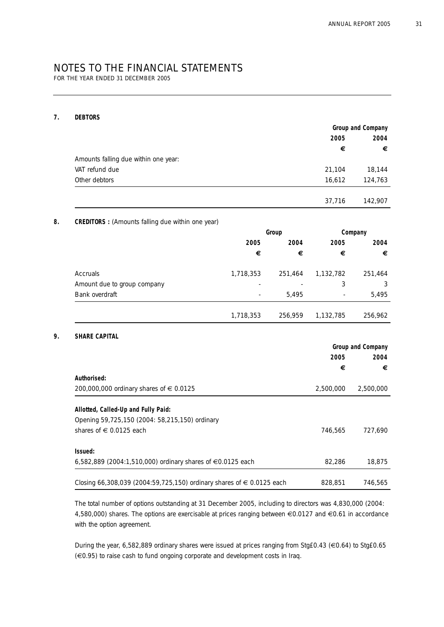FOR THE YEAR ENDED 31 DECEMBER 2005

#### **7. DEBTORS**

|                                                          |           |         | Group and Company |                   |
|----------------------------------------------------------|-----------|---------|-------------------|-------------------|
|                                                          |           |         | 2005<br>€         | 2004              |
| Amounts falling due within one year:                     |           |         |                   |                   |
| VAT refund due                                           |           |         | 21,104            | 18,144            |
| Other debtors                                            |           |         | 16,612            | 124,763           |
|                                                          |           |         |                   |                   |
|                                                          |           |         | 37,716            | 142,907           |
| <b>CREDITORS</b> : (Amounts falling due within one year) |           |         |                   |                   |
|                                                          |           | Group   |                   | Company           |
|                                                          | 2005      | 2004    | 2005              | 2004              |
|                                                          | €         | €       | €                 |                   |
| Accruals                                                 | 1,718,353 | 251,464 | 1,132,782         | 251,464           |
| Amount due to group company                              |           |         | 3                 |                   |
| Bank overdraft                                           |           | 5,495   |                   | 5,495             |
|                                                          | 1,718,353 | 256,959 | 1,132,785         | 256,962           |
| SHARE CAPITAL                                            |           |         |                   |                   |
|                                                          |           |         |                   | Group and Company |
|                                                          |           |         | 2005              | 2004              |
|                                                          |           |         | €                 |                   |
| Authorised:                                              |           |         |                   |                   |
| 200,000,000 ordinary shares of € 0.0125                  |           |         | 2,500,000         | 2,500,000         |
| Allotted, Called-Up and Fully Paid:                      |           |         |                   |                   |
|                                                          |           |         |                   |                   |
| Opening 59,725,150 (2004: 58,215,150) ordinary           |           |         | 746,565           | 727,690           |
| shares of € 0.0125 each                                  |           |         |                   |                   |
| Issued:                                                  |           |         |                   |                   |

The total number of options outstanding at 31 December 2005, including to directors was 4,830,000 (2004: 4,580,000) shares. The options are exercisable at prices ranging between €0.0127 and €0.61 in accordance with the option agreement.

During the year, 6,582,889 ordinary shares were issued at prices ranging from Stg£0.43 (€0.64) to Stg£0.65 (€0.95) to raise cash to fund ongoing corporate and development costs in Iraq.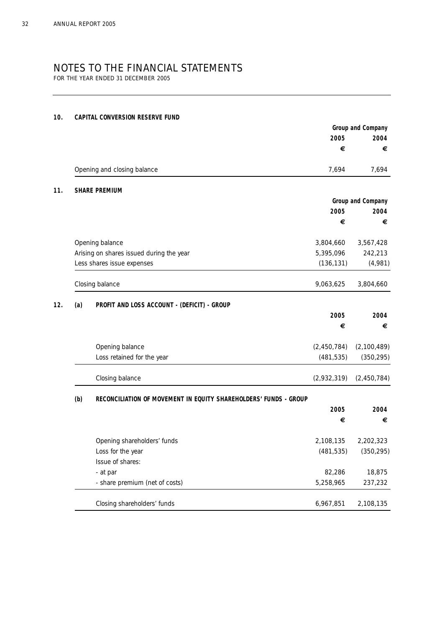FOR THE YEAR ENDED 31 DECEMBER 2005

#### **10. CAPITAL CONVERSION RESERVE FUND**

|     |                                                                  |             | Group and Company |
|-----|------------------------------------------------------------------|-------------|-------------------|
|     |                                                                  | 2005        | 2004              |
|     |                                                                  | €           | €                 |
|     | Opening and closing balance                                      | 7,694       | 7,694             |
|     | <b>SHARE PREMIUM</b>                                             |             |                   |
|     |                                                                  |             | Group and Company |
|     |                                                                  | 2005        | 2004              |
|     |                                                                  | €           | €                 |
|     | Opening balance                                                  | 3,804,660   | 3,567,428         |
|     | Arising on shares issued during the year                         | 5,395,096   | 242,213           |
|     | Less shares issue expenses                                       | (136, 131)  | (4,981)           |
|     | Closing balance                                                  | 9,063,625   | 3,804,660         |
| (a) | PROFIT AND LOSS ACCOUNT - (DEFICIT) - GROUP                      |             |                   |
|     |                                                                  | 2005        | 2004              |
|     |                                                                  | €           | €                 |
|     | Opening balance                                                  | (2,450,784) | (2,100,489)       |
|     | Loss retained for the year                                       | (481, 535)  | (350, 295)        |
|     | Closing balance                                                  | (2,932,319) | (2,450,784)       |
| (b) | RECONCILIATION OF MOVEMENT IN EQUITY SHAREHOLDERS' FUNDS - GROUP |             |                   |
|     |                                                                  | 2005        | 2004              |
|     |                                                                  | €           | €                 |
|     | Opening shareholders' funds                                      | 2,108,135   | 2,202,323         |
|     | Loss for the year                                                | (481, 535)  | (350, 295)        |
|     | Issue of shares:                                                 |             |                   |
|     | - at par                                                         | 82,286      | 18,875            |
|     | - share premium (net of costs)                                   | 5,258,965   | 237,232           |
|     | Closing shareholders' funds                                      | 6,967,851   |                   |
|     |                                                                  |             | 2,108,135         |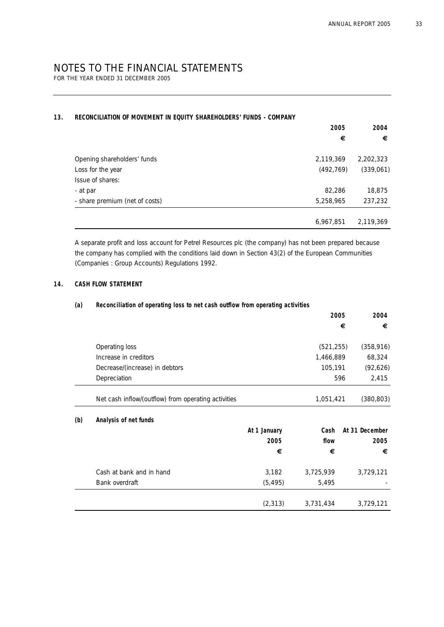FOR THE YEAR ENDED 31 DECEMBER 2005

#### **13. RECONCILIATION OF MOVEMENT IN EQUITY SHAREHOLDERS' FUNDS - COMPANY**

|                                | 2005       | 2004      |
|--------------------------------|------------|-----------|
|                                | €          | €         |
| Opening shareholders' funds    | 2,119,369  | 2,202,323 |
| Loss for the year              | (492, 769) | (339,061) |
| Issue of shares:               |            |           |
| - at par                       | 82,286     | 18,875    |
| - share premium (net of costs) | 5,258,965  | 237,232   |
|                                |            |           |
|                                | 6,967,851  | 2,119,369 |

A separate profit and loss account for Petrel Resources plc (the company) has not been prepared because the company has complied with the conditions laid down in Section 43(2) of the European Communities (Companies : Group Accounts) Regulations 1992.

#### **14. CASH FLOW STATEMENT**

#### **(a) Reconciliation of operating loss to net cash outflow from operating activities**

|     |                                                     |              | 2005       | 2004           |
|-----|-----------------------------------------------------|--------------|------------|----------------|
|     |                                                     |              |            | €<br>€         |
|     | Operating loss                                      |              | (521, 255) | (358, 916)     |
|     | Increase in creditors                               |              | 1,466,889  | 68,324         |
|     | Decrease/(increase) in debtors                      |              | 105,191    | (92,626)       |
|     | Depreciation                                        |              |            | 2,415<br>596   |
|     | Net cash inflow/(outflow) from operating activities |              | 1,051,421  | (380, 803)     |
| (b) | Analysis of net funds                               |              |            |                |
|     |                                                     | At 1 January | Cash       | At 31 December |
|     |                                                     | 2005         | flow       | 2005           |
|     |                                                     | €            | €          | €              |
|     | Cash at bank and in hand                            | 3,182        | 3,725,939  | 3,729,121      |
|     | Bank overdraft                                      | (5, 495)     | 5,495      |                |
|     |                                                     | (2, 313)     | 3,731,434  | 3,729,121      |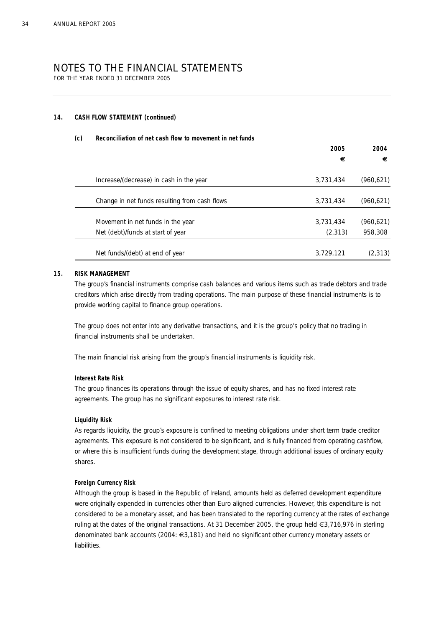FOR THE YEAR ENDED 31 DECEMBER 2005

#### **14. CASH FLOW STATEMENT (continued)**

#### **(c) Reconciliation of net cash flow to movement in net funds**

|                                               | 2005      |            |
|-----------------------------------------------|-----------|------------|
|                                               | €         | €          |
| Increase/(decrease) in cash in the year       | 3,731,434 | (960, 621) |
| Change in net funds resulting from cash flows | 3,731,434 | (960, 621) |
| Movement in net funds in the year             | 3,731,434 | (960, 621) |
| Net (debt)/funds at start of year             | (2, 313)  | 958,308    |
| Net funds/(debt) at end of year               | 3,729,121 | (2, 313)   |

#### **15. RISK MANAGEMENT**

The group's financial instruments comprise cash balances and various items such as trade debtors and trade creditors which arise directly from trading operations. The main purpose of these financial instruments is to provide working capital to finance group operations.

The group does not enter into any derivative transactions, and it is the group's policy that no trading in financial instruments shall be undertaken.

The main financial risk arising from the group's financial instruments is liquidity risk.

#### **Interest Rate Risk**

The group finances its operations through the issue of equity shares, and has no fixed interest rate agreements. The group has no significant exposures to interest rate risk.

#### **Liquidity Risk**

As regards liquidity, the group's exposure is confined to meeting obligations under short term trade creditor agreements. This exposure is not considered to be significant, and is fully financed from operating cashflow, or where this is insufficient funds during the development stage, through additional issues of ordinary equity shares.

#### **Foreign Currency Risk**

Although the group is based in the Republic of Ireland, amounts held as deferred development expenditure were originally expended in currencies other than Euro aligned currencies. However, this expenditure is not considered to be a monetary asset, and has been translated to the reporting currency at the rates of exchange ruling at the dates of the original transactions. At 31 December 2005, the group held €3,716,976 in sterling denominated bank accounts (2004: €3,181) and held no significant other currency monetary assets or liabilities.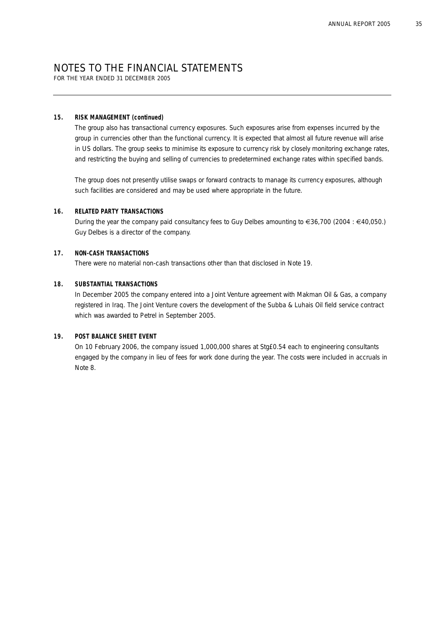FOR THE YEAR ENDED 31 DECEMBER 2005

#### **15. RISK MANAGEMENT (continued)**

The group also has transactional currency exposures. Such exposures arise from expenses incurred by the group in currencies other than the functional currency. It is expected that almost all future revenue will arise in US dollars. The group seeks to minimise its exposure to currency risk by closely monitoring exchange rates, and restricting the buying and selling of currencies to predetermined exchange rates within specified bands.

The group does not presently utilise swaps or forward contracts to manage its currency exposures, although such facilities are considered and may be used where appropriate in the future.

#### **16. RELATED PARTY TRANSACTIONS**

During the year the company paid consultancy fees to Guy Delbes amounting to €36,700 (2004 : €40,050.) Guy Delbes is a director of the company.

#### **17. NON-CASH TRANSACTIONS**

There were no material non-cash transactions other than that disclosed in Note 19.

#### **18. SUBSTANTIAL TRANSACTIONS**

In December 2005 the company entered into a Joint Venture agreement with Makman Oil & Gas, a company registered in Iraq. The Joint Venture covers the development of the Subba & Luhais Oil field service contract which was awarded to Petrel in September 2005.

#### **19. POST BALANCE SHEET EVENT**

On 10 February 2006, the company issued 1,000,000 shares at Stg£0.54 each to engineering consultants engaged by the company in lieu of fees for work done during the year. The costs were included in accruals in Note 8.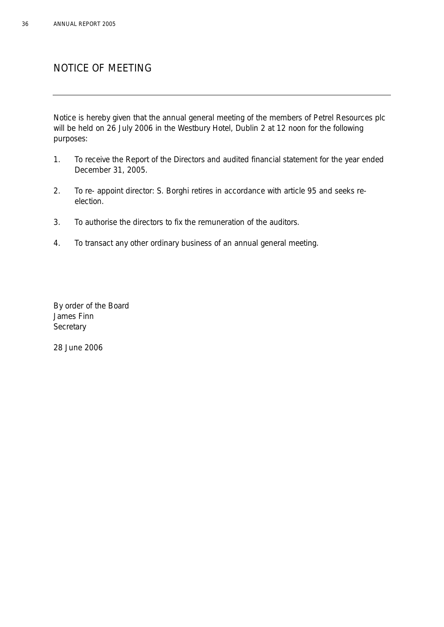# NOTICE OF MEETING

Notice is hereby given that the annual general meeting of the members of Petrel Resources plc will be held on 26 July 2006 in the Westbury Hotel, Dublin 2 at 12 noon for the following purposes:

- 1. To receive the Report of the Directors and audited financial statement for the year ended December 31, 2005.
- 2. To re- appoint director: S. Borghi retires in accordance with article 95 and seeks reelection.
- 3. To authorise the directors to fix the remuneration of the auditors.
- 4. To transact any other ordinary business of an annual general meeting.

By order of the Board James Finn **Secretary** 

28 June 2006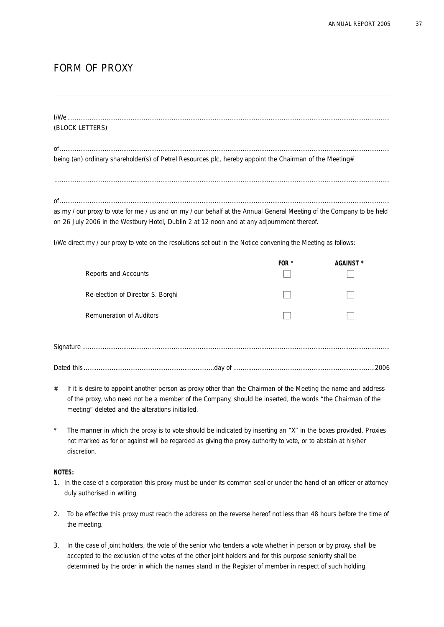# FORM OF PROXY

| (BLOCK LETTERS) |  |  |
|-----------------|--|--|
|                 |  |  |
|                 |  |  |

being (an) ordinary shareholder(s) of Petrel Resources plc, hereby appoint the Chairman of the Meeting#

of................................................................................................................................................................................. as my / our proxy to vote for me / us and on my / our behalf at the Annual General Meeting of the Company to be held on 26 July 2006 in the Westbury Hotel, Dublin 2 at 12 noon and at any adjournment thereof.

....................................................................................................................................................................................

I/We direct my / our proxy to vote on the resolutions set out in the Notice convening the Meeting as follows:

| Reports and Accounts              | FOR $*$ | AGAINST * |
|-----------------------------------|---------|-----------|
| Re-election of Director S. Borghi |         |           |
| Remuneration of Auditors          |         |           |
|                                   |         |           |
|                                   |         |           |

- # If it is desire to appoint another person as proxy other than the Chairman of the Meeting the name and address of the proxy, who need not be a member of the Company, should be inserted, the words "the Chairman of the meeting" deleted and the alterations initialled.
- The manner in which the proxy is to vote should be indicated by inserting an "X" in the boxes provided. Proxies not marked as for or against will be regarded as giving the proxy authority to vote, or to abstain at his/her discretion.

### **NOTES:**

- 1. In the case of a corporation this proxy must be under its common seal or under the hand of an officer or attorney duly authorised in writing.
- 2. To be effective this proxy must reach the address on the reverse hereof not less than 48 hours before the time of the meeting.
- 3. In the case of joint holders, the vote of the senior who tenders a vote whether in person or by proxy, shall be accepted to the exclusion of the votes of the other joint holders and for this purpose seniority shall be determined by the order in which the names stand in the Register of member in respect of such holding.